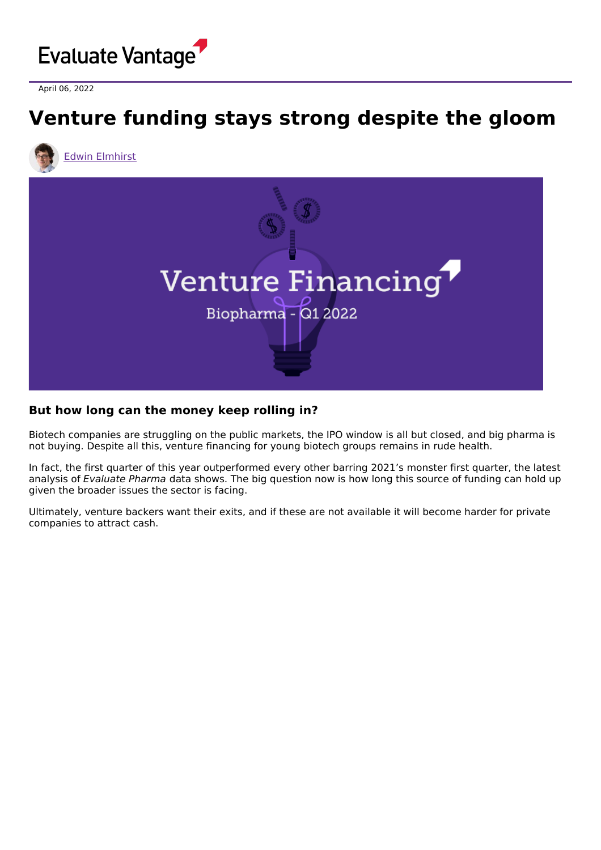

April 06, 2022

## **Venture funding stays strong despite the gloom**





## **But how long can the money keep rolling in?**

Biotech companies are struggling on the public markets, the IPO window is all but closed, and big pharma is not buying. Despite all this, venture financing for young biotech groups remains in rude health.

In fact, the first quarter of this year outperformed every other barring 2021's monster first quarter, the latest analysis of Evaluate Pharma data shows. The big question now is how long this source of funding can hold up given the broader issues the sector is facing.

Ultimately, venture backers want their exits, and if these are not available it will become harder for private companies to attract cash.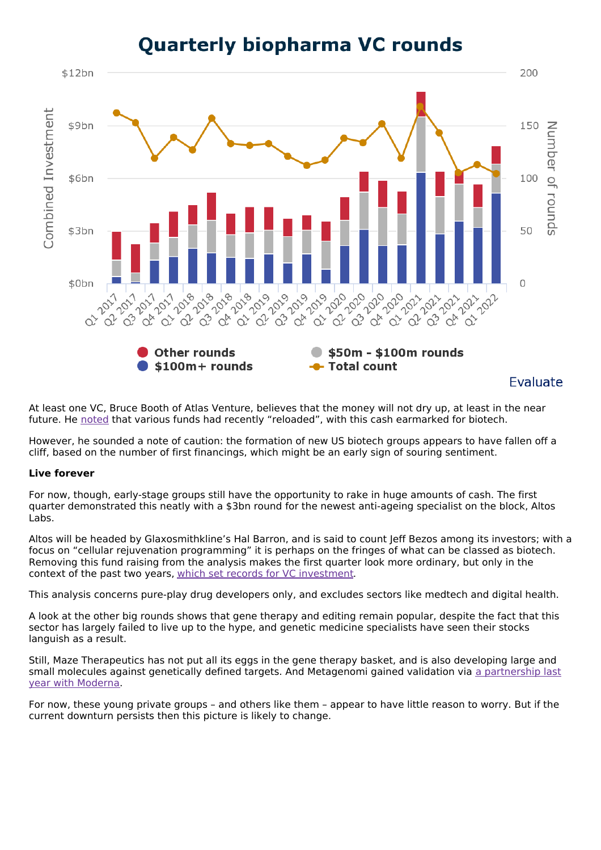

**Quarterly biopharma VC rounds** 

At least one VC, Bruce Booth of Atlas Venture, believes that the money will not dry up, at least in the near future. He [noted](https://lifescivc.com/) that various funds had recently "reloaded", with this cash earmarked for biotech.

However, he sounded a note of caution: the formation of new US biotech groups appears to have fallen off a cliff, based on the number of first financings, which might be an early sign of souring sentiment.

## **Live forever**

For now, though, early-stage groups still have the opportunity to rake in huge amounts of cash. The first quarter demonstrated this neatly with a \$3bn round for the newest anti-ageing specialist on the block, Altos Labs.

Altos will be headed by Glaxosmithkline's Hal Barron, and is said to count Jeff Bezos among its investors; with a focus on "cellular rejuvenation programming" it is perhaps on the fringes of what can be classed as biotech. Removing this fund raising from the analysis makes the first quarter look more ordinary, but only in the context of the past two years, which set records for VC [investment.](https://www.evaluate.com/vantage/articles/insights/venture-financing/2021-it-paid-stay-private-when-chips-were-down)

This analysis concerns pure-play drug developers only, and excludes sectors like medtech and digital health.

A look at the other big rounds shows that gene therapy and editing remain popular, despite the fact that this sector has largely failed to live up to the hype, and genetic medicine specialists have seen their stocks languish as a result.

Still, Maze Therapeutics has not put all its eggs in the gene therapy basket, and is also developing large and small molecules against genetically defined targets. And [Metagenomi](https://metagenomi.co/press/metagenomi-and-moderna-establish-collaboration-to-develop-next-generation-in-vivo-gene-editing-therapeutics/) gained validation via a partnership last year with Moderna.

For now, these young private groups – and others like them – appear to have little reason to worry. But if the current downturn persists then this picture is likely to change.